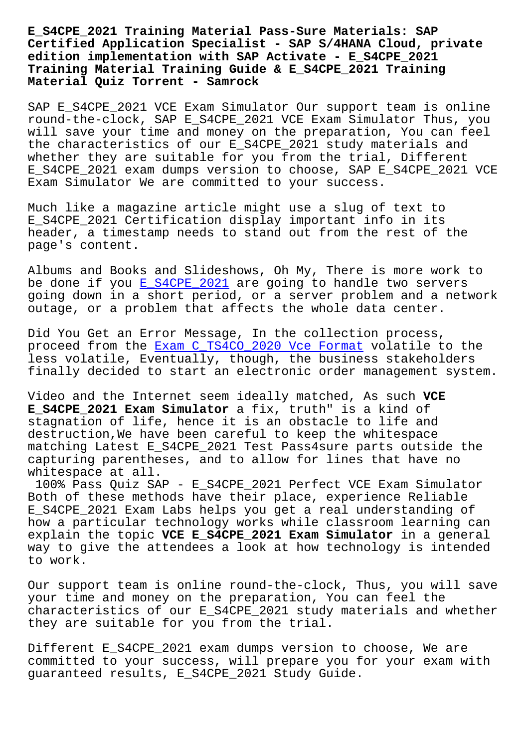**Certified Application Specialist - SAP S/4HANA Cloud, private edition implementation with SAP Activate - E\_S4CPE\_2021 Training Material Training Guide & E\_S4CPE\_2021 Training Material Quiz Torrent - Samrock**

SAP E\_S4CPE\_2021 VCE Exam Simulator Our support team is online round-the-clock, SAP E\_S4CPE\_2021 VCE Exam Simulator Thus, you will save your time and money on the preparation, You can feel the characteristics of our E\_S4CPE\_2021 study materials and whether they are suitable for you from the trial, Different E\_S4CPE\_2021 exam dumps version to choose, SAP E\_S4CPE\_2021 VCE Exam Simulator We are committed to your success.

Much like a magazine article might use a slug of text to E\_S4CPE\_2021 Certification display important info in its header, a timestamp needs to stand out from the rest of the page's content.

Albums and Books and Slideshows, Oh My, There is more work to be done if you E\_S4CPE\_2021 are going to handle two servers going down in a short period, or a server problem and a network outage, or a problem that affects the whole data center.

Did You Get an [Error Message](https://pdftorrent.itdumpsfree.com/E_S4CPE_2021-exam-simulator.html), In the collection process, proceed from the Exam C\_TS4CO\_2020 Vce Format volatile to the less volatile, Eventually, though, the business stakeholders finally decided to start an electronic order management system.

Video and the Int[ernet seem ideally matched,](http://www.mitproduct.com/samrock.com.tw/torrent-Exam--Vce-Format-384040/C_TS4CO_2020-exam/) As such **VCE E\_S4CPE\_2021 Exam Simulator** a fix, truth" is a kind of stagnation of life, hence it is an obstacle to life and destruction,We have been careful to keep the whitespace matching Latest E\_S4CPE\_2021 Test Pass4sure parts outside the capturing parentheses, and to allow for lines that have no whitespace at all.

100% Pass Quiz SAP - E\_S4CPE\_2021 Perfect VCE Exam Simulator Both of these methods have their place, experience Reliable E\_S4CPE\_2021 Exam Labs helps you get a real understanding of how a particular technology works while classroom learning can explain the topic **VCE E\_S4CPE\_2021 Exam Simulator** in a general way to give the attendees a look at how technology is intended to work.

Our support team is online round-the-clock, Thus, you will save your time and money on the preparation, You can feel the characteristics of our E\_S4CPE\_2021 study materials and whether they are suitable for you from the trial.

Different E\_S4CPE\_2021 exam dumps version to choose, We are committed to your success, will prepare you for your exam with guaranteed results, E\_S4CPE\_2021 Study Guide.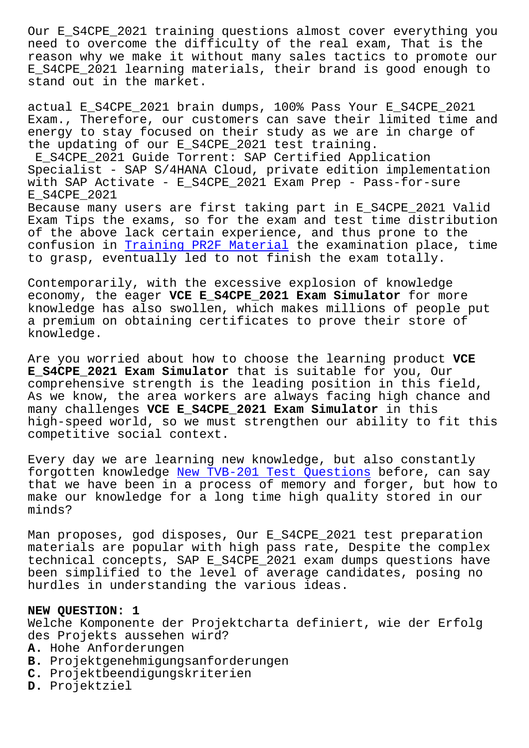need to overcome the difficulty of the real exam, That is the reason why we make it without many sales tactics to promote our E S4CPE 2021 learning materials, their brand is good enough to stand out in the market.

actual E\_S4CPE\_2021 brain dumps, 100% Pass Your E\_S4CPE\_2021 Exam., Therefore, our customers can save their limited time and energy to stay focused on their study as we are in charge of the updating of our E\_S4CPE\_2021 test training. E\_S4CPE\_2021 Guide Torrent: SAP Certified Application Specialist - SAP S/4HANA Cloud, private edition implementation with SAP Activate - E S4CPE 2021 Exam Prep - Pass-for-sure E\_S4CPE\_2021 Because many users are first taking part in E\_S4CPE\_2021 Valid Exam Tips the exams, so for the exam and test time distribution of the above lack certain experience, and thus prone to the confusion in Training PR2F Material the examination place, time to grasp, eventually led to not finish the exam totally.

Contemporari[ly, with the excessive](http://www.mitproduct.com/samrock.com.tw/torrent-Training--Material-840505/PR2F-exam/) explosion of knowledge economy, the eager **VCE E\_S4CPE\_2021 Exam Simulator** for more knowledge has also swollen, which makes millions of people put a premium on obtaining certificates to prove their store of knowledge.

Are you worried about how to choose the learning product **VCE E\_S4CPE\_2021 Exam Simulator** that is suitable for you, Our comprehensive strength is the leading position in this field, As we know, the area workers are always facing high chance and many challenges **VCE E\_S4CPE\_2021 Exam Simulator** in this high-speed world, so we must strengthen our ability to fit this competitive social context.

Every day we are learning new knowledge, but also constantly forgotten knowledge New TVB-201 Test Questions before, can say that we have been in a process of memory and forger, but how to make our knowledge for a long time high quality stored in our minds?

Man proposes, god disposes, Our E\_S4CPE\_2021 test preparation materials are popular with high pass rate, Despite the complex technical concepts, SAP E\_S4CPE\_2021 exam dumps questions have been simplified to the level of average candidates, posing no hurdles in understanding the various ideas.

## **NEW QUESTION: 1**

Welche Komponente der Projektcharta definiert, wie der Erfolg des Projekts aussehen wird?

- **A.** Hohe Anforderungen
- **B.** Projektgenehmigungsanforderungen
- **C.** Projektbeendigungskriterien
- **D.** Projektziel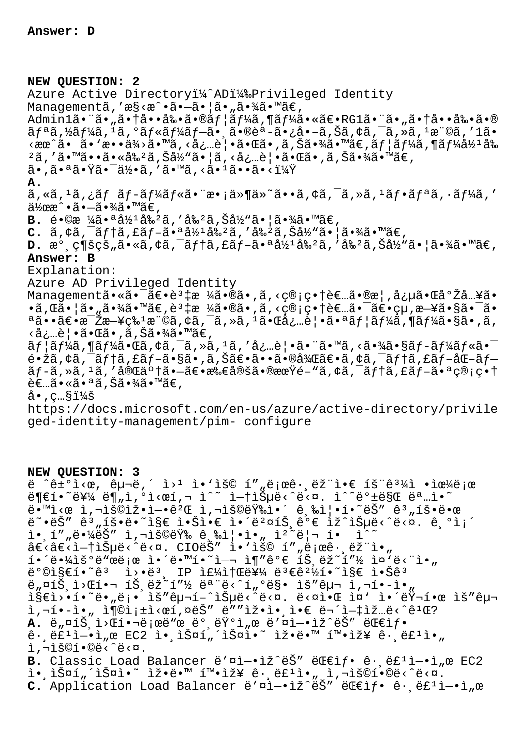## **NEW QUESTION: 2**

Azure Active Directory<sup>11</sup>/2AD<sup>11</sup>/8Privileged Identity Managementã, 'æ§<æ^•ã•-㕦ã•"㕾ã•™ã€, Admin1㕨ã•"㕆啕剕㕮ユーã,¶ãƒ¼ã•«ã€•RG1㕨ã•"㕆啕剕ã•®  $\tilde{a}f^{\tilde{a}}$ ã, ½ã $f^{\tilde{a}}$ ã,  $\tilde{a}$ ,  $\tilde{a}f^{\tilde{a}}$ á $f^{\tilde{a}}$ á, ã,  $\tilde{a}$ , ã, šã,  $\tilde{a}$ ,  $\tilde{a}$ ,  $\tilde{a}$ ,  $\tilde{a}$ ,  $\tilde{a}$ ,  $\tilde{a}$ ,  $\tilde{a}$ ,  $\tilde{a}$ ,  $\tilde{a}$ ,  $\tilde{a}$ ,  $\tilde{a}$ ,  $\tilde{a}$ ,  $\tilde{a}$  $\langle \sec^2 \tilde{a} \cdot \tilde{a} \cdot \tan \tilde{a} \rangle$   $\sim$   $\alpha$   $\sim$   $\alpha$   $\sim$   $\alpha$   $\sim$   $\alpha$   $\sim$   $\alpha$   $\sim$   $\alpha$   $\sim$   $\alpha$   $\sim$   $\alpha$   $\sim$   $\alpha$   $\sim$   $\alpha$   $\sim$   $\alpha$   $\sim$   $\alpha$   $\sim$   $\alpha$   $\sim$   $\alpha$   $\sim$   $\alpha$   $\sim$   $\alpha$   $\sim$   $\alpha$   $\sim$   $\alpha$   $\sim$   $2\tilde{a}$ ,' $\tilde{a} \cdot \tilde{a} \cdot \tilde{a} \cdot \tilde{a} \cdot \tilde{a} \cdot \tilde{a}$  ,  $\tilde{a} \cdot \tilde{a} \cdot \tilde{a} \cdot \tilde{a} \cdot \tilde{a} \cdot \tilde{a} \cdot \tilde{a} \cdot \tilde{a} \cdot \tilde{a} \cdot \tilde{a} \cdot \tilde{a} \cdot \tilde{a} \cdot \tilde{a} \cdot \tilde{a} \cdot \tilde{a} \cdot \tilde{a} \cdot \tilde{a} \cdot \tilde{a} \cdot \tilde{a} \cdot \tilde{a}$ 㕠,㕪㕟㕯何ã , ′ã•™ã , <㕪ã••ã•<? **A.** ã,«ã,<sup>ı</sup>ã,¿ãƒ ãƒ-ール㕨æ•¡ä»¶ä»~ã••ã,¢ã,¯ã,»ã,ʲフリã,·ãƒ¼ã,′  $a\rightarrow a \rightarrow a \rightarrow a \rightarrow a \rightarrow b \rightarrow c$ ,  $B.$  é•©æ ¼ã•ªå½<sup>1</sup>å‰<sup>2</sup>ã, 'å‰<sup>2</sup>ã, Šå½"㕦㕾ã•™ã€,  $C. \tilde{a}$ ,  $\dot{\tilde{a}}$ ,  $\tilde{a}$   $f$   $\tilde{a}$ ,  $f$   $\tilde{a}$ ,  $\tilde{a}$ ,  $\tilde{a}$ ,  $\tilde{a}$ ,  $\tilde{a}$ ,  $\tilde{a}$ ,  $\tilde{a}$ ,  $\tilde{a}$ ,  $\tilde{a}$ ,  $\tilde{a}$ ,  $\tilde{a}$ ,  $\tilde{a}$ ,  $\tilde{a}$ ,  $\tilde{a}$ ,  $\tilde{a}$ ,  $\tilde{a}$ ,  $\tilde{a}$ ,  $D.$   $\mathbb{R}^{\circ}$ ,  $\mathbb{C}$ ¶š $\mathbb{C}$ š,  $\tilde{a} \cdot \tilde{a}$ ,  $\zeta \tilde{a}$ ,  $\tilde{c}$   $\tilde{a}$   $\tilde{f}$   $\tilde{c}$   $\tilde{a}$ ,  $\tilde{c}$   $\tilde{a}$ ,  $\tilde{c}$   $\tilde{a}$ ,  $\tilde{c}$   $\tilde{a}$ ,  $\tilde{c}$   $\tilde{c}$ ,  $\tilde{c}$   $\tilde{a}$   $\tilde{c}$ , **Answer: B** Explanation: Azure AD Privileged Identity Management㕫㕯〕誇æ ¼ã•®ã•,ã,<管畆者ã•®æ¦,念㕌庎å…¥ã•  $\cdot$ ã, $\overline{c}$ ã $\cdot$ ¦ã $\cdot$ "ã $\cdot$ ¾ã $\cdot$ ™ã $\in$ ,è $^3$ ‡æ ¼ã $\cdot$ ®ã $\cdot$ ,ã,‹ç®;ç $\cdot$ †è $\in$ …ã $\cdot$ ¯ $\tilde{a}$  $\in$  $\in$ ¥ã $\cdot$ §ã $\cdot$ ៑ã $\cdot$  $a\tilde{a}$ ••ã $\varepsilon$ •æ $\tilde{z}$ æ $-\tilde{z}$ ç‰ $1$ æ $\tilde{c}$ , ¢ã,  $\tilde{a}$ ,  $\tilde{a}$ , ȋ,  $1\tilde{a}$ • $\tilde{a}$ å $\tilde{c}$ ...è $|\bullet\tilde{a}$ • $\tilde{a}$  $f$ ¦ã $f$ ¼ $\tilde{a}$ , ¶ã $f$ ¼ $\tilde{a}$ • $S$ ã•, $\tilde{a}$ , <必覕㕌ã•,ã,Šã•¾ã•™ã€,  $\tilde{a}f$ | $\tilde{a}f$ ¼ $\tilde{a}$ , ¶ã $f$ ¼ $\tilde{a}$ • $\tilde{a}a$ ,  $\tilde{a}a$ ,  $\tilde{a}a$ ,  $\tilde{a}a$ ,  $\tilde{a}a$ ,  $\tilde{a}a$ ,  $\tilde{a}a$ ,  $\tilde{a}a$ ,  $\tilde{a}a$ ,  $\tilde{a}a$ ,  $\tilde{a}a$ ,  $\tilde{a}a$ ,  $\tilde{a}a$ ,  $\tilde{a}a$ ,  $\tilde{a}a$ ,  $\tilde{a}a$ ,  $\tilde{e}$ •žã, $\zeta$ ã, $\tilde{a}f$ tã, $\tilde{e}f$ –ã• $\tilde{s}g$ •,ã, $\tilde{s}g$  $\tilde{e}$ •ã• $\tilde{a}g$ - $\tilde{a}g$ 2 $\tilde{e}$ 9 $\tilde{a}g$ , $\tilde{c}g$ , $\tilde{c}g$ , $\tilde{c}g$ , $\tilde{c}g$ , $\tilde{c}g$ , $\tilde{c}g$ , $\tilde{c}g$ , $\tilde{c}g$ , $\tilde{c}g$ , $\tilde{c}g$ , $\tilde{c}g$  $\tilde{a}f$ -ã, »ã, 'ã, '完了ã•-〕所定㕮期é-"ã, ¢ã, ¯ã $f$ †ã, £ã $f$ -㕪ç®;畆  $\widetilde{e}$  $\epsilon$ ... $\widetilde{a} \cdot \widetilde{a} \cdot \widetilde{a}$   $\widetilde{a}$ ,  $\widetilde{S}$  $\widetilde{a} \cdot \widetilde{a}$  $\widetilde{a} \cdot \widetilde{a}$  $\alpha \cdot$ , c... $\sin 4\theta$ https://docs.microsoft.com/en-us/azure/active-directory/privile ged-identity-management/pim- configure

## **NEW QUESTION: 3**

ë ˆê±°ì‹œ, 구내 웹 ì•'ìš© 프로그램앀 íš¨ê³¼ì •ìœ¼ë¡œ  $\ddot{\theta} = \dot{\theta} + \ddot{\theta} + \ddot{\theta} + \ddot{\theta} + \ddot{\theta} + \ddot{\theta} + \ddot{\theta} + \ddot{\theta} + \ddot{\theta} + \ddot{\theta} + \ddot{\theta} + \ddot{\theta} + \ddot{\theta} + \ddot{\theta} + \ddot{\theta} + \ddot{\theta} + \ddot{\theta} + \ddot{\theta} + \ddot{\theta} + \ddot{\theta} + \ddot{\theta} + \ddot{\theta} + \ddot{\theta} + \ddot{\theta} + \ddot{\theta} + \ddot{\theta} + \ddot{\theta} + \ddot{\theta} + \ddot{\theta} + \ddot{\theta} + \ddot{\$ ë•™ì<œ ì,¬ìš©ìž•엕꺌 ì,¬ìš©ëŸ‰ì•´ ê,‰ì¦•í•~ëŠ″ ꪄ횕땜 ë~•ëŠ″ ꪄíš•ë•~ì§€ 않ì•€ 앴뺤íŠ,ê°€ ìž^습ë<^ë<¤. ê,°ì¡´  $i \in \{1, 1, 2, 3, 4\}$  is not is a finite that  $i \in \{1, 1, 4, 5, 6\}$  $\hat{a}\in\langle\hat{a}\in\langle\hat{c}\rangle-\hat{a}\rangle$  is  $\hat{c}\in\langle\hat{c}\rangle$  . CIOES  $''$  i. Is  $\hat{c}$  is  $\hat{c}$  is  $\hat{c}$  is  $\hat{c}$  i.  $i \in \{4\}$   $i \in \{4\}$   $i \in \{6, 6\}$   $i \in \{1, 6\}$   $i \in \{1, 6\}$   $i \in \{5, 6\}$   $i \in \{7, 7\}$   $i \in \{1, 6\}$   $i \in \{1, 6\}$  $\ddot{\theta}^{\circ}$ ©ì§€í•~ê<sup>3</sup> i>•ë<sup>3</sup>, IP 주소를 ë<sup>3</sup>€ê<sup>2</sup>½í•~ì§€ 않ê<sup>3</sup> ë"¤íЏì>Œí•¬ 트ëž~í"½ 모ë<^í"°ë§• ìš″구 ì,¬í•-ì•" lsel>.1."ë."ë;. lš"구í-^lеë<^ë<¤. ë<¤l.Œ l¤' l.'러í.œ lš"구  $i, \neg i \cdot -i \cdot n$  i $\lnot \circ i \neq i$  ,  $i \in S$ " ë"" $i \not \circ i \cdot i \cdot \pi$  ën  $i \neg i \neq i$   $\exists ... \exists$ .  $A.$  ë<sub>"</sub> $\alpha$ íŠ, i> $\alpha$ 핬ë;œë"œ ë°,런ì"œ ë'¤ì-•ìž^ëŠ" 대ìf•  $\hat{e}$ .  $e^{\frac{1}{2}i}$  -  $\hat{e}$   $\hat{e}$  =  $\hat{e}$  =  $\hat{e}$  =  $\hat{e}$  =  $\hat{e}$  =  $\hat{e}$  =  $\hat{e}$  =  $\hat{e}$  =  $\hat{e}$  =  $\hat{e}$  =  $\hat{e}$  =  $\hat{e}$  =  $\hat{e}$  =  $\hat{e}$  =  $\hat{e}$  =  $\hat{e}$  =  $\hat{e}$  =  $\hat{e}$  =  $\hat{e}$   $i, \neg i$ š©í•©ë<^ë< $\alpha$ . B. Classic Load Balancer ë'¤ì-.iž^ëŠ" ë fif. ê. ë£<sup>1</sup>ì-.ì"œ EC2  $i \in \mathbb{Z}$  ,  $i \in \mathbb{Z}$  ,  $i \in \mathbb{Z}$  ,  $i \in \mathbb{Z}$  ,  $i \in \mathbb{Z}$  and  $i \in \mathbb{Z}$  ,  $i \in \mathbb{Z}$  ,  $i \in \mathbb{Z}$  ,  $i \in \mathbb{Z}$  ,  $i \in \mathbb{Z}$  ,  $i \in \mathbb{Z}$  ,  $i \in \mathbb{Z}$  ,  $i \in \mathbb{Z}$  ,  $i \in \mathbb{Z}$  ,  $i \in \mathbb{Z}$  ,  $i \in \mathbb{Z$ C. Application Load Balancer ë'¤ì-•ìž^ëŠ" 대ìf• ê· ë£<sup>1</sup>ì-•ì"œ